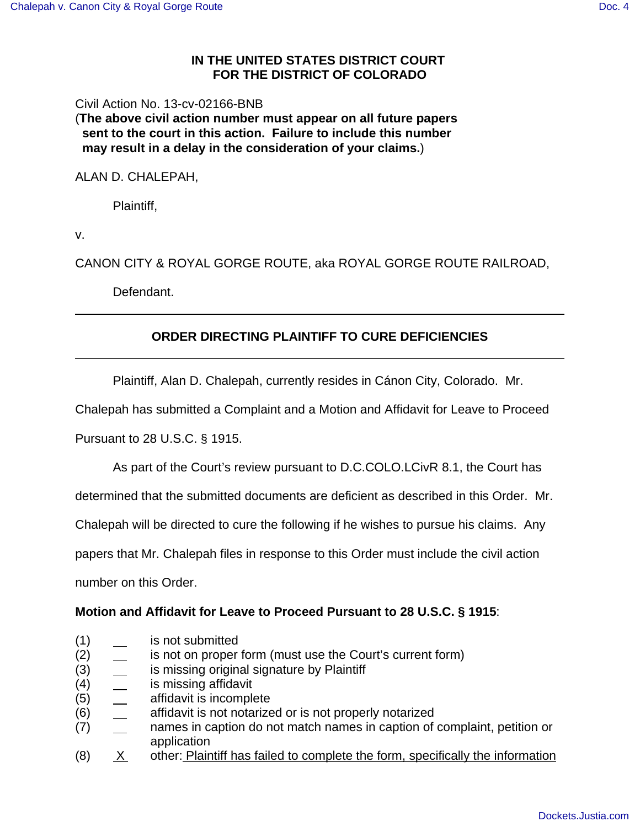### **IN THE UNITED STATES DISTRICT COURT FOR THE DISTRICT OF COLORADO**

Civil Action No. 13-cv-02166-BNB

(**The above civil action number must appear on all future papers sent to the court in this action. Failure to include this number may result in a delay in the consideration of your claims.**)

ALAN D. CHALEPAH,

Plaintiff,

v.

CANON CITY & ROYAL GORGE ROUTE, aka ROYAL GORGE ROUTE RAILROAD,

Defendant.

# **ORDER DIRECTING PLAINTIFF TO CURE DEFICIENCIES**

Plaintiff, Alan D. Chalepah, currently resides in Cánon City, Colorado. Mr.

Chalepah has submitted a Complaint and a Motion and Affidavit for Leave to Proceed

Pursuant to 28 U.S.C. § 1915.

As part of the Court's review pursuant to D.C.COLO.LCivR 8.1, the Court has

determined that the submitted documents are deficient as described in this Order. Mr.

Chalepah will be directed to cure the following if he wishes to pursue his claims. Any

papers that Mr. Chalepah files in response to this Order must include the civil action

number on this Order.

### **Motion and Affidavit for Leave to Proceed Pursuant to 28 U.S.C. § 1915**:

- (1) is not submitted
- (2) is not on proper form (must use the Court's current form)
- (3) **is missing original signature by Plaintiff**
- (4) is missing affidavit
- (5) affidavit is incomplete
- (6) affidavit is not notarized or is not properly notarized
- (7) <sub>names</sub> in caption do not match names in caption of complaint, petition or application
- $(8)$   $X$  other: Plaintiff has failed to complete the form, specifically the information